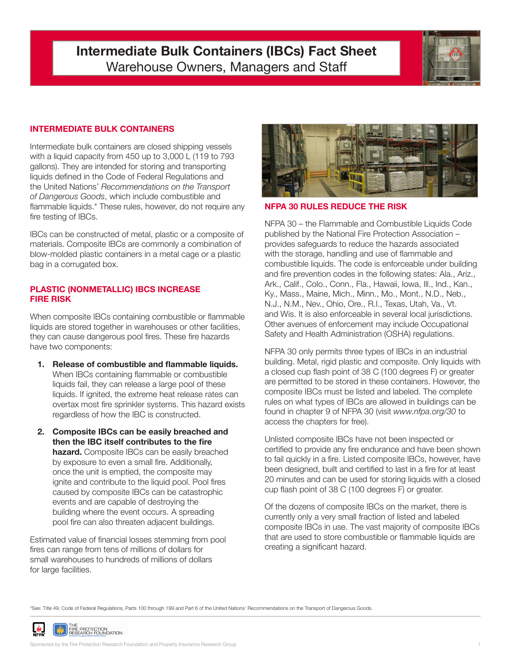# **Intermediate Bulk Containers (IBCs) Fact Sheet** Warehouse Owners, Managers and Staff



## **INTERMEDIATE BULK CONTAINERS**

Intermediate bulk containers are closed shipping vessels with a liquid capacity from 450 up to 3,000 L (119 to 793 gallons). They are intended for storing and transporting liquids defined in the Code of Federal Regulations and the United Nations' *Recommendations on the Transport of Dangerous Goods*, which include combustible and flammable liquids.\* These rules, however, do not require any fire testing of IBCs.

IBCs can be constructed of metal, plastic or a composite of materials. Composite IBCs are commonly a combination of blow-molded plastic containers in a metal cage or a plastic bag in a corrugated box.

#### **PLASTIC (NONMETALLIC) IBCS INCREASE FIRE RISK**

When composite IBCs containing combustible or flammable liquids are stored together in warehouses or other facilities, they can cause dangerous pool fires. These fire hazards have two components:

- **1. Release of combustible and flammable liquids.** When IBCs containing flammable or combustible liquids fail, they can release a large pool of these liquids. If ignited, the extreme heat release rates can overtax most fire sprinkler systems. This hazard exists regardless of how the IBC is constructed.
- **2. Composite IBCs can be easily breached and then the IBC itself contributes to the fire hazard.** Composite IBCs can be easily breached by exposure to even a small fire. Additionally, once the unit is emptied, the composite may ignite and contribute to the liquid pool. Pool fires caused by composite IBCs can be catastrophic events and are capable of destroying the building where the event occurs. A spreading pool fire can also threaten adjacent buildings.

Estimated value of financial losses stemming from pool fires can range from tens of millions of dollars for small warehouses to hundreds of millions of dollars for large facilities.



#### **PA 30 RULES REDUCE THE RISK**

NFPA 30 – the Flammable and Combustible Liquids Code published by the National Fire Protection Association – provides safeguards to reduce the hazards associated with the storage, handling and use of flammable and combustible liquids. The code is enforceable under building and fire prevention codes in the following states: Ala., Ariz., Ark., Calif., Colo., Conn., Fla., Hawaii, Iowa, Ill., Ind., Kan., Ky., Mass., Maine, Mich., Minn., Mo., Mont., N.D., Neb., N.J., N.M., Nev., Ohio, Ore., R.I., Texas, Utah, Va., Vt. and Wis. It is also enforceable in several local jurisdictions. Other avenues of enforcement may include Occupational Safety and Health Administration (OSHA) regulations.

NFPA 30 only permits three types of IBCs in an industrial building. Metal, rigid plastic and composite. Only liquids with a closed cup flash point of 38 C (100 degrees F) or greater are permitted to be stored in these containers. However, the composite IBCs must be listed and labeled. The complete rules on what types of IBCs are allowed in buildings can be found in chapter 9 of NFPA 30 (visit *www.nfpa.org/30* to access the chapters for free).

Unlisted composite IBCs have not been inspected or certified to provide any fire endurance and have been shown to fail quickly in a fire. Listed composite IBCs, however, have been designed, built and certified to last in a fire for at least 20 minutes and can be used for storing liquids with a closed cup flash point of 38 C (100 degrees F) or greater.

Of the dozens of composite IBCs on the market, there is currently only a very small fraction of listed and labeled composite IBCs in use. The vast majority of composite IBCs that are used to store combustible or flammable liquids are creating a significant hazard.

\*See: Title 49, Code of Federal Regulations, Parts 100 through 199 and Part 6 of the United Nations' Recommendations on the Transport of Dangerous Goods.